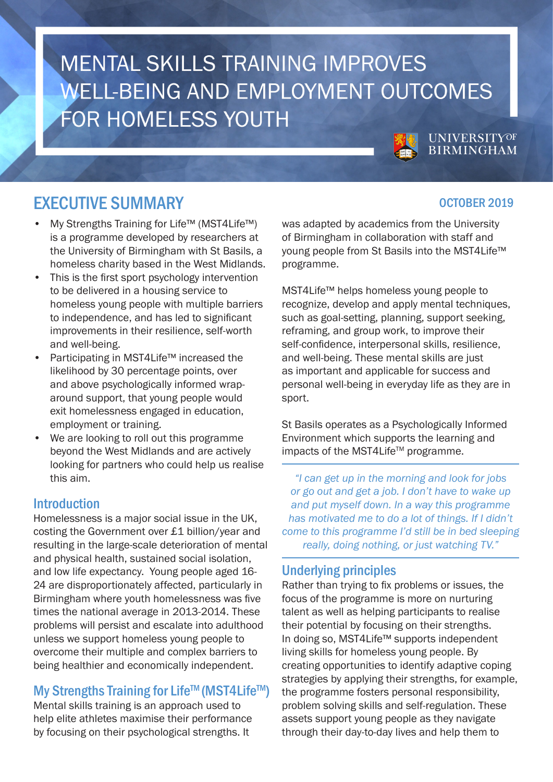# **MENTAL SKILLS TRAINING IMPROVES** WELL-BEING AND EMPLOYMENT OUTCOMES **FOR HOMELESS YOUTH UNIVERSITYOF**

# EXECUTIVE SUMMARY **EXECUTIVE SUMMARY EXECUTIVE SUMMARY**

- My Strengths Training for Life™ (MST4Life™) is a programme developed by researchers at the University of Birmingham with St Basils, a homeless charity based in the West Midlands.
- This is the first sport psychology intervention to be delivered in a housing service to homeless young people with multiple barriers to independence, and has led to significant improvements in their resilience, self-worth and well-being.
- Participating in MST4Life™ increased the likelihood by 30 percentage points, over and above psychologically informed wraparound support, that young people would exit homelessness engaged in education, employment or training.
- We are looking to roll out this programme beyond the West Midlands and are actively looking for partners who could help us realise this aim.

## **Introduction**

Homelessness is a major social issue in the UK, costing the Government over £1 billion/year and resulting in the large-scale deterioration of mental and physical health, sustained social isolation, and low life expectancy. Young people aged 16- 24 are disproportionately affected, particularly in Birmingham where youth homelessness was five times the national average in 2013-2014. These problems will persist and escalate into adulthood unless we support homeless young people to overcome their multiple and complex barriers to being healthier and economically independent.

# My Strengths Training for Life™ (MST4Life™)

Mental skills training is an approach used to help elite athletes maximise their performance by focusing on their psychological strengths. It

was adapted by academics from the University of Birmingham in collaboration with staff and young people from St Basils into the MST4Life™ programme.

MST4Life™ helps homeless young people to recognize, develop and apply mental techniques, such as goal-setting, planning, support seeking, reframing, and group work, to improve their self-confidence, interpersonal skills, resilience, and well-being. These mental skills are just as important and applicable for success and personal well-being in everyday life as they are in sport.

St Basils operates as a Psychologically Informed Environment which supports the learning and impacts of the MST4Life™ programme.

*"I can get up in the morning and look for jobs or go out and get a job. I don't have to wake up and put myself down. In a way this programme has motivated me to do a lot of things. If I didn't come to this programme I'd still be in bed sleeping really, doing nothing, or just watching TV."*

## Underlying principles

Rather than trying to fix problems or issues, the focus of the programme is more on nurturing talent as well as helping participants to realise their potential by focusing on their strengths. In doing so, MST4Life™ supports independent living skills for homeless young people. By creating opportunities to identify adaptive coping strategies by applying their strengths, for example, the programme fosters personal responsibility, problem solving skills and self-regulation. These assets support young people as they navigate through their day-to-day lives and help them to

**BIRMINGHAM**